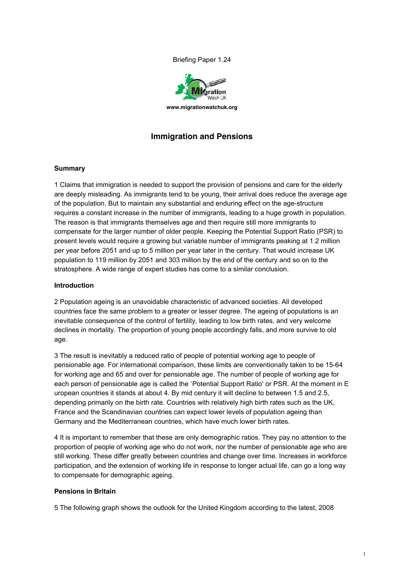Briefing Paper 1.24



# **Immigration and Pensions**

#### **Summary**

1 Claims that immigration is needed to support the provision of pensions and care for the elderly are deeply misleading. As immigrants tend to be young, their arrival does reduce the average age of the population. But to maintain any substantial and enduring effect on the age-structure requires a constant increase in the number of immigrants, leading to a huge growth in population. The reason is that immigrants themselves age and then require still more immigrants to compensate for the larger number of older people. Keeping the Potential Support Ratio (PSR) to present levels would require a growing but variable number of immigrants peaking at 1.2 million per year before 2051 and up to 5 million per year later in the century. That would increase UK population to 119 million by 2051 and 303 million by the end of the century and so on to the stratosphere. A wide range of expert studies has come to a similar conclusion.

### **Introduction**

2 Population ageing is an unavoidable characteristic of advanced societies. All developed countries face the same problem to a greater or lesser degree. The ageing of populations is an inevitable consequence of the control of fertility, leading to low birth rates, and very welcome declines in mortality. The proportion of young people accordingly falls, and more survive to old age.

3 The result is inevitably a reduced ratio of people of potential working age to people of pensionable age. For international comparison, these limits are conventionally taken to be 15-64 for working age and 65 and over for pensionable age. The number of people of working age for each person of pensionable age is called the 'Potential Support Ratio' or PSR. At the moment in E uropean countries it stands at about 4. By mid century it will decline to between 1.5 and 2.5, depending primarily on the birth rate. Countries with relatively high birth rates such as the UK, France and the Scandinavian countries can expect lower levels of population ageing than Germany and the Mediterranean countries, which have much lower birth rates.

4 It is important to remember that these are only demographic ratios. They pay no attention to the proportion of people of working age who do not work, nor the number of pensionable age who are still working. These differ greatly between countries and change over time. Increases in workforce participation, and the extension of working life in response to longer actual life, can go a long way to compensate for demographic ageing.

#### **Pensions in Britain**

5 The following graph shows the outlook for the United Kingdom according to the latest, 2008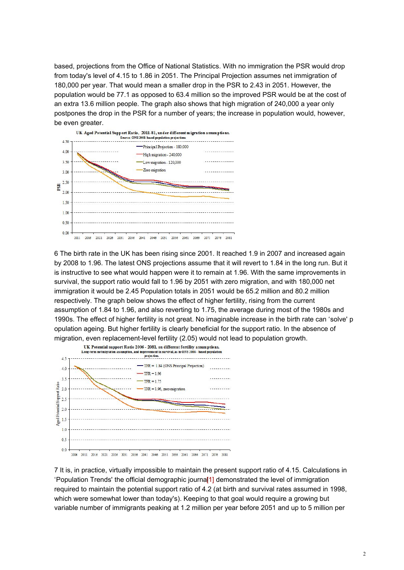based, projections from the Office of National Statistics. With no immigration the PSR would drop from today's level of 4.15 to 1.86 in 2051. The Principal Projection assumes net immigration of 180,000 per year. That would mean a smaller drop in the PSR to 2.43 in 2051. However, the population would be 77.1 as opposed to 63.4 million so the improved PSR would be at the cost of an extra 13.6 million people. The graph also shows that high migration of 240,000 a year only postpones the drop in the PSR for a number of years; the increase in population would, however, be even greater.



6 The birth rate in the UK has been rising since 2001. It reached 1.9 in 2007 and increased again by 2008 to 1.96. The latest ONS projections assume that it will revert to 1.84 in the long run. But it is instructive to see what would happen were it to remain at 1.96. With the same improvements in survival, the support ratio would fall to 1.96 by 2051 with zero migration, and with 180,000 net immigration it would be 2.45 Population totals in 2051 would be 65.2 million and 80.2 million respectively. The graph below shows the effect of higher fertility, rising from the current assumption of 1.84 to 1.96, and also reverting to 1.75, the average during most of the 1980s and 1990s. The effect of higher fertility is not great. No imaginable increase in the birth rate can 'solve' p opulation ageing. But higher fertility is clearly beneficial for the support ratio. In the absence of migration, even replacement-level fertility (2.05) would not lead to population growth.



7 It is, in practice, virtually impossible to maintain the present support ratio of 4.15. Calculations in 'Population Trends' the official demographic journa<sup>[1]</sup> demonstrated the level of immigration required to maintain the potential support ratio of 4.2 (at birth and survival rates assumed in 1998, which were somewhat lower than today's). Keeping to that goal would require a growing but variable number of immigrants peaking at 1.2 million per year before 2051 and up to 5 million per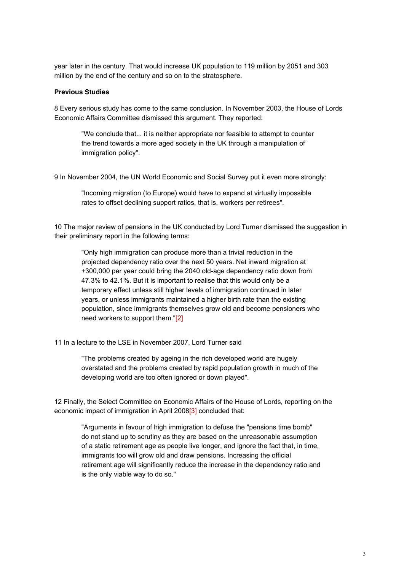year later in the century. That would increase UK population to 119 million by 2051 and 303 million by the end of the century and so on to the stratosphere.

### **Previous Studies**

8 Every serious study has come to the same conclusion. In November 2003, the House of Lords Economic Affairs Committee dismissed this argument. They reported:

"We conclude that... it is neither appropriate nor feasible to attempt to counter the trend towards a more aged society in the UK through a manipulation of immigration policy".

9 In November 2004, the UN World Economic and Social Survey put it even more strongly:

"Incoming migration (to Europe) would have to expand at virtually impossible rates to offset declining support ratios, that is, workers per retirees".

10 The major review of pensions in the UK conducted by Lord Turner dismissed the suggestion in their preliminary report in the following terms:

"Only high immigration can produce more than a trivial reduction in the projected dependency ratio over the next 50 years. Net inward migration at +300,000 per year could bring the 2040 old-age dependency ratio down from 47.3% to 42.1%. But it is important to realise that this would only be a temporary effect unless still higher levels of immigration continued in later years, or unless immigrants maintained a higher birth rate than the existing population, since immigrants themselves grow old and become pensioners who need workers to support them."[2]

11 In a lecture to the LSE in November 2007, Lord Turner said

"The problems created by ageing in the rich developed world are hugely overstated and the problems created by rapid population growth in much of the developing world are too often ignored or down played".

12 Finally, the Select Committee on Economic Affairs of the House of Lords, reporting on the economic impact of immigration in April 2008[3] concluded that:

"Arguments in favour of high immigration to defuse the "pensions time bomb" do not stand up to scrutiny as they are based on the unreasonable assumption of a static retirement age as people live longer, and ignore the fact that, in time, immigrants too will grow old and draw pensions. Increasing the official retirement age will significantly reduce the increase in the dependency ratio and is the only viable way to do so."